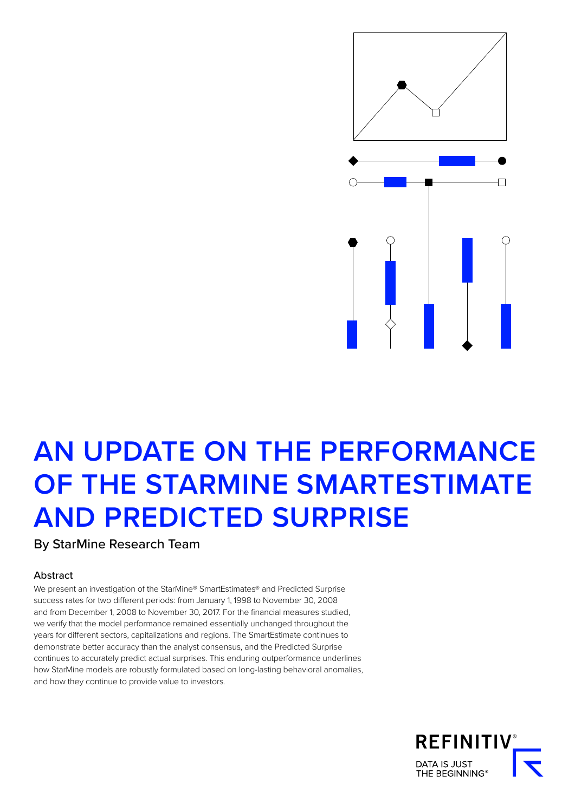

# **AN UPDATE ON THE PERFORMANCE OF THE STARMINE SMARTESTIMATE AND PREDICTED SURPRISE**

By StarMine Research Team

# Abstract

We present an investigation of the StarMine® SmartEstimates® and Predicted Surprise success rates for two different periods: from January 1, 1998 to November 30, 2008 and from December 1, 2008 to November 30, 2017. For the financial measures studied, we verify that the model performance remained essentially unchanged throughout the years for different sectors, capitalizations and regions. The SmartEstimate continues to demonstrate better accuracy than the analyst consensus, and the Predicted Surprise continues to accurately predict actual surprises. This enduring outperformance underlines how StarMine models are robustly formulated based on long-lasting behavioral anomalies, and how they continue to provide value to investors.

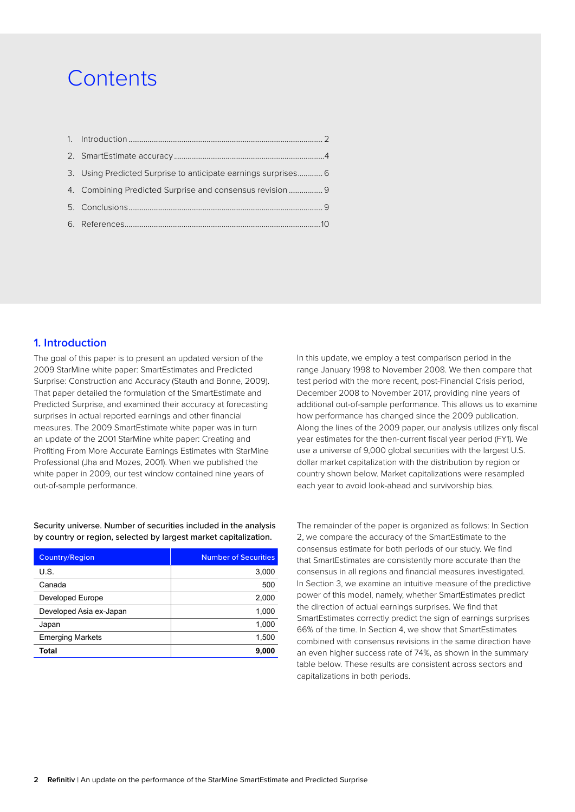# **Contents**

| 3. Using Predicted Surprise to anticipate earnings surprises 6 |  |
|----------------------------------------------------------------|--|
| 4. Combining Predicted Surprise and consensus revision 9       |  |
|                                                                |  |
|                                                                |  |
|                                                                |  |

# **1. Introduction**

The goal of this paper is to present an updated version of the 2009 StarMine white paper: SmartEstimates and Predicted Surprise: Construction and Accuracy (Stauth and Bonne, 2009). That paper detailed the formulation of the SmartEstimate and Predicted Surprise, and examined their accuracy at forecasting surprises in actual reported earnings and other financial measures. The 2009 SmartEstimate white paper was in turn an update of the 2001 StarMine white paper: Creating and Profiting From More Accurate Earnings Estimates with StarMine Professional (Jha and Mozes, 2001). When we published the white paper in 2009, our test window contained nine years of out-of-sample performance.

Security universe. Number of securities included in the analysis by country or region, selected by largest market capitalization.

| <b>Country/Region</b>   | <b>Number of Securities</b> |
|-------------------------|-----------------------------|
| U.S.                    | 3,000                       |
| Canada                  | 500                         |
| Developed Europe        | 2,000                       |
| Developed Asia ex-Japan | 1,000                       |
| Japan                   | 1,000                       |
| <b>Emerging Markets</b> | 1,500                       |
| Total                   | 9,000                       |

In this update, we employ a test comparison period in the range January 1998 to November 2008. We then compare that test period with the more recent, post-Financial Crisis period, December 2008 to November 2017, providing nine years of additional out-of-sample performance. This allows us to examine how performance has changed since the 2009 publication. Along the lines of the 2009 paper, our analysis utilizes only fiscal year estimates for the then-current fiscal year period (FY1). We use a universe of 9,000 global securities with the largest U.S. dollar market capitalization with the distribution by region or country shown below. Market capitalizations were resampled each year to avoid look-ahead and survivorship bias.

The remainder of the paper is organized as follows: In Section 2, we compare the accuracy of the SmartEstimate to the consensus estimate for both periods of our study. We find that SmartEstimates are consistently more accurate than the consensus in all regions and financial measures investigated. In Section 3, we examine an intuitive measure of the predictive power of this model, namely, whether SmartEstimates predict the direction of actual earnings surprises. We find that SmartEstimates correctly predict the sign of earnings surprises 66% of the time. In Section 4, we show that SmartEstimates combined with consensus revisions in the same direction have an even higher success rate of 74%, as shown in the summary table below. These results are consistent across sectors and capitalizations in both periods.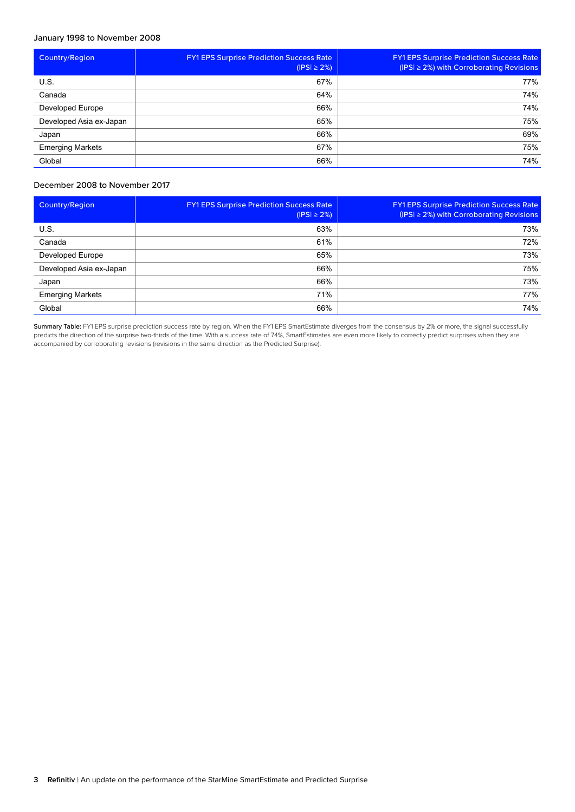# January 1998 to November 2008

| <b>Country/Region</b>   | <b>FY1 EPS Surprise Prediction Success Rate</b><br>$( PS  \geq 2\%)$ | <b>FY1 EPS Surprise Prediction Success Rate</b><br>$(PS) \ge 2\%)$ with Corroborating Revisions |
|-------------------------|----------------------------------------------------------------------|-------------------------------------------------------------------------------------------------|
| U.S.                    | 67%                                                                  | 77%                                                                                             |
| Canada                  | 64%                                                                  | 74%                                                                                             |
| Developed Europe        | 66%                                                                  | 74%                                                                                             |
| Developed Asia ex-Japan | 65%                                                                  | 75%                                                                                             |
| Japan                   | 66%                                                                  | 69%                                                                                             |
| <b>Emerging Markets</b> | 67%                                                                  | 75%                                                                                             |
| Global                  | 66%                                                                  | 74%                                                                                             |

# December 2008 to November 2017

| <b>Country/Region</b>   | <b>FY1 EPS Surprise Prediction Success Rate</b><br>$( PS  \geq 2\%)$ | <b>FY1 EPS Surprise Prediction Success Rate</b><br>( $ PS  \geq 2\%$ ) with Corroborating Revisions |
|-------------------------|----------------------------------------------------------------------|-----------------------------------------------------------------------------------------------------|
| U.S.                    | 63%                                                                  | 73%                                                                                                 |
| Canada                  | 61%                                                                  | 72%                                                                                                 |
| Developed Europe        | 65%                                                                  | 73%                                                                                                 |
| Developed Asia ex-Japan | 66%                                                                  | 75%                                                                                                 |
| Japan                   | 66%                                                                  | 73%                                                                                                 |
| <b>Emerging Markets</b> | 71%                                                                  | 77%                                                                                                 |
| Global                  | 66%                                                                  | 74%                                                                                                 |

Summary Table: FY1 EPS surprise prediction success rate by region. When the FY1 EPS SmartEstimate diverges from the consensus by 2% or more, the signal successfully predicts the direction of the surprise two-thirds of the time. With a success rate of 74%, SmartEstimates are even more likely to correctly predict surprises when they are accompanied by corroborating revisions (revisions in the same direction as the Predicted Surprise).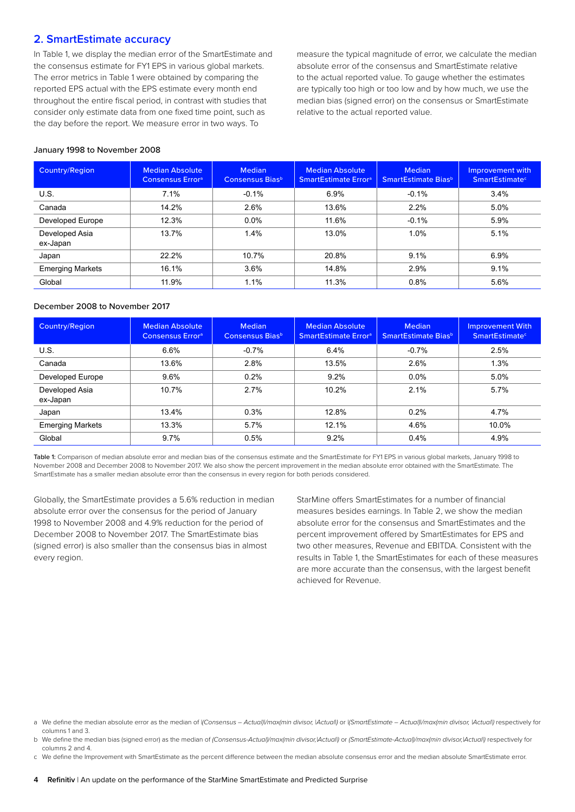# <span id="page-3-0"></span>**2. SmartEstimate accuracy**

In Table 1, we display the median error of the SmartEstimate and the consensus estimate for FY1 EPS in various global markets. The error metrics in Table 1 were obtained by comparing the reported EPS actual with the EPS estimate every month end throughout the entire fiscal period, in contrast with studies that consider only estimate data from one fixed time point, such as the day before the report. We measure error in two ways. To

measure the typical magnitude of error, we calculate the median absolute error of the consensus and SmartEstimate relative to the actual reported value. To gauge whether the estimates are typically too high or too low and by how much, we use the median bias (signed error) on the consensus or SmartEstimate relative to the actual reported value.

#### January 1998 to November 2008

| <b>Country/Region</b>      | <b>Median Absolute</b><br><b>Consensus Error</b> <sup>a</sup> | <b>Median</b><br>Consensus Bias <sup>b</sup> | <b>Median Absolute</b><br><b>SmartEstimate Error</b> <sup>a</sup> | <b>Median</b><br>SmartEstimate Bias <sup>b</sup> | Improvement with<br><b>SmartEstimate<sup>c</sup></b> |
|----------------------------|---------------------------------------------------------------|----------------------------------------------|-------------------------------------------------------------------|--------------------------------------------------|------------------------------------------------------|
| U.S.                       | 7.1%                                                          | $-0.1%$                                      | 6.9%                                                              | $-0.1%$                                          | 3.4%                                                 |
| Canada                     | 14.2%                                                         | 2.6%                                         | 13.6%                                                             | 2.2%                                             | 5.0%                                                 |
| Developed Europe           | 12.3%                                                         | $0.0\%$                                      | 11.6%                                                             | $-0.1%$                                          | 5.9%                                                 |
| Developed Asia<br>ex-Japan | 13.7%                                                         | 1.4%                                         | 13.0%                                                             | 1.0%                                             | 5.1%                                                 |
| Japan                      | 22.2%                                                         | 10.7%                                        | 20.8%                                                             | 9.1%                                             | 6.9%                                                 |
| <b>Emerging Markets</b>    | 16.1%                                                         | 3.6%                                         | 14.8%                                                             | 2.9%                                             | 9.1%                                                 |
| Global                     | 11.9%                                                         | 1.1%                                         | 11.3%                                                             | 0.8%                                             | 5.6%                                                 |

## December 2008 to November 2017

| <b>Country/Region</b>      | <b>Median Absolute</b><br><b>Consensus Error</b> <sup>a</sup> | <b>Median</b><br>Consensus Bias <sup>b</sup> | <b>Median Absolute</b><br><b>SmartEstimate Error</b> <sup>a</sup> | <b>Median</b><br>SmartEstimate Bias <sup>b</sup> | <b>Improvement With</b><br><b>SmartEstimate<sup>c</sup></b> |
|----------------------------|---------------------------------------------------------------|----------------------------------------------|-------------------------------------------------------------------|--------------------------------------------------|-------------------------------------------------------------|
| U.S.                       | 6.6%                                                          | $-0.7%$                                      | 6.4%                                                              | $-0.7%$                                          | 2.5%                                                        |
| Canada                     | 13.6%                                                         | 2.8%                                         | 13.5%                                                             | 2.6%                                             | 1.3%                                                        |
| Developed Europe           | 9.6%                                                          | 0.2%                                         | 9.2%                                                              | 0.0%                                             | 5.0%                                                        |
| Developed Asia<br>ex-Japan | 10.7%                                                         | 2.7%                                         | 10.2%                                                             | 2.1%                                             | 5.7%                                                        |
| Japan                      | 13.4%                                                         | 0.3%                                         | 12.8%                                                             | 0.2%                                             | 4.7%                                                        |
| <b>Emerging Markets</b>    | 13.3%                                                         | 5.7%                                         | 12.1%                                                             | 4.6%                                             | 10.0%                                                       |
| Global                     | 9.7%                                                          | 0.5%                                         | 9.2%                                                              | 0.4%                                             | 4.9%                                                        |

Table 1: Comparison of median absolute error and median bias of the consensus estimate and the SmartEstimate for FY1 EPS in various global markets, January 1998 to November 2008 and December 2008 to November 2017. We also show the percent improvement in the median absolute error obtained with the SmartEstimate. The SmartEstimate has a smaller median absolute error than the consensus in every region for both periods considered.

Globally, the SmartEstimate provides a 5.6% reduction in median absolute error over the consensus for the period of January 1998 to November 2008 and 4.9% reduction for the period of December 2008 to November 2017. The SmartEstimate bias (signed error) is also smaller than the consensus bias in almost every region.

StarMine offers SmartEstimates for a number of financial measures besides earnings. In Table 2, we show the median absolute error for the consensus and SmartEstimates and the percent improvement offered by SmartEstimates for EPS and two other measures, Revenue and EBITDA. Consistent with the results in Table 1, the SmartEstimates for each of these measures are more accurate than the consensus, with the largest benefit achieved for Revenue.

c We define the Improvement with SmartEstimate as the percent difference between the median absolute consensus error and the median absolute SmartEstimate error.

a We define the median absolute error as the median of *|(Consensus – Actual)|/max(min divisor, |Actual|)* or *|(SmartEstimate – Actual)|/max(min divisor, |Actual|)* respectively for columns 1 and 3.

b We define the median bias (signed error) as the median of *(Consensus-Actual)/max(min divisor,|Actual|)* or *(SmartEstimate-Actual)/max(min divisor,|Actual|)* respectively for columns 2 and 4.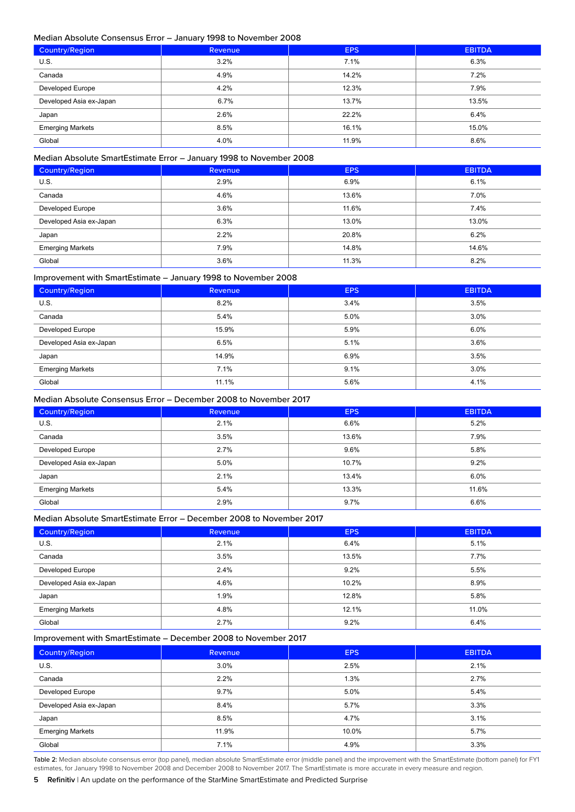## Median Absolute Consensus Error – January 1998 to November 2008

| <b>Country/Region</b>   | Revenue | <b>EPS</b> | <b>EBITDA</b> |
|-------------------------|---------|------------|---------------|
| U.S.                    | 3.2%    | 7.1%       | 6.3%          |
| Canada                  | 4.9%    | 14.2%      | 7.2%          |
| <b>Developed Europe</b> | 4.2%    | 12.3%      | 7.9%          |
| Developed Asia ex-Japan | 6.7%    | 13.7%      | 13.5%         |
| Japan                   | 2.6%    | 22.2%      | 6.4%          |
| <b>Emerging Markets</b> | 8.5%    | 16.1%      | 15.0%         |
| Global                  | 4.0%    | 11.9%      | 8.6%          |

# Median Absolute SmartEstimate Error – January 1998 to November 2008

| Country/Region          | Revenue | <b>EPS</b> | <b>EBITDA</b> |
|-------------------------|---------|------------|---------------|
| U.S.                    | 2.9%    | 6.9%       | 6.1%          |
| Canada                  | 4.6%    | 13.6%      | 7.0%          |
| <b>Developed Europe</b> | 3.6%    | 11.6%      | 7.4%          |
| Developed Asia ex-Japan | 6.3%    | 13.0%      | 13.0%         |
| Japan                   | 2.2%    | 20.8%      | 6.2%          |
| <b>Emerging Markets</b> | 7.9%    | 14.8%      | 14.6%         |
| Global                  | 3.6%    | 11.3%      | 8.2%          |

#### Improvement with SmartEstimate – January 1998 to November 2008

| Country/Region          | Revenue | <b>EPS</b> | <b>EBITDA</b> |
|-------------------------|---------|------------|---------------|
| U.S.                    | 8.2%    | 3.4%       | 3.5%          |
| Canada                  | 5.4%    | 5.0%       | 3.0%          |
| <b>Developed Europe</b> | 15.9%   | 5.9%       | 6.0%          |
| Developed Asia ex-Japan | 6.5%    | 5.1%       | 3.6%          |
| Japan                   | 14.9%   | 6.9%       | 3.5%          |
| <b>Emerging Markets</b> | 7.1%    | 9.1%       | 3.0%          |
| Global                  | 11.1%   | 5.6%       | 4.1%          |

# Median Absolute Consensus Error – December 2008 to November 2017

| Country/Region          | <b>Revenue</b> | <b>EPS</b> | <b>EBITDA</b> |
|-------------------------|----------------|------------|---------------|
| U.S.                    | 2.1%           | 6.6%       | 5.2%          |
| Canada                  | 3.5%           | 13.6%      | 7.9%          |
| <b>Developed Europe</b> | 2.7%           | 9.6%       | 5.8%          |
| Developed Asia ex-Japan | 5.0%           | 10.7%      | 9.2%          |
| Japan                   | 2.1%           | 13.4%      | 6.0%          |
| <b>Emerging Markets</b> | 5.4%           | 13.3%      | 11.6%         |
| Global                  | 2.9%           | 9.7%       | 6.6%          |

#### Median Absolute SmartEstimate Error – December 2008 to November 2017

| Country/Region          | <b>Revenue</b> | <b>EPS</b> | <b>EBITDA</b> |
|-------------------------|----------------|------------|---------------|
| U.S.                    | 2.1%           | 6.4%       | 5.1%          |
| Canada                  | 3.5%           | 13.5%      | 7.7%          |
| Developed Europe        | 2.4%           | 9.2%       | 5.5%          |
| Developed Asia ex-Japan | 4.6%           | 10.2%      | 8.9%          |
| Japan                   | 1.9%           | 12.8%      | 5.8%          |
| <b>Emerging Markets</b> | 4.8%           | 12.1%      | 11.0%         |
| Global                  | 2.7%           | 9.2%       | 6.4%          |

#### Improvement with SmartEstimate – December 2008 to November 2017

| <b>Country/Region</b>   | <b>Revenue</b> | <b>EPS</b> | <b>EBITDA</b> |
|-------------------------|----------------|------------|---------------|
| U.S.                    | 3.0%           | 2.5%       | 2.1%          |
| Canada                  | 2.2%           | 1.3%       | 2.7%          |
| Developed Europe        | 9.7%           | 5.0%       | 5.4%          |
| Developed Asia ex-Japan | 8.4%           | 5.7%       | 3.3%          |
| Japan                   | 8.5%           | 4.7%       | 3.1%          |
| <b>Emerging Markets</b> | 11.9%          | 10.0%      | 5.7%          |
| Global                  | 7.1%           | 4.9%       | 3.3%          |

Table 2: Median absolute consensus error (top panel), median absolute SmartEstimate error (middle panel) and the improvement with the SmartEstimate (bottom panel) for FY1 estimates, for January 1998 to November 2008 and December 2008 to November 2017. The SmartEstimate is more accurate in every measure and region.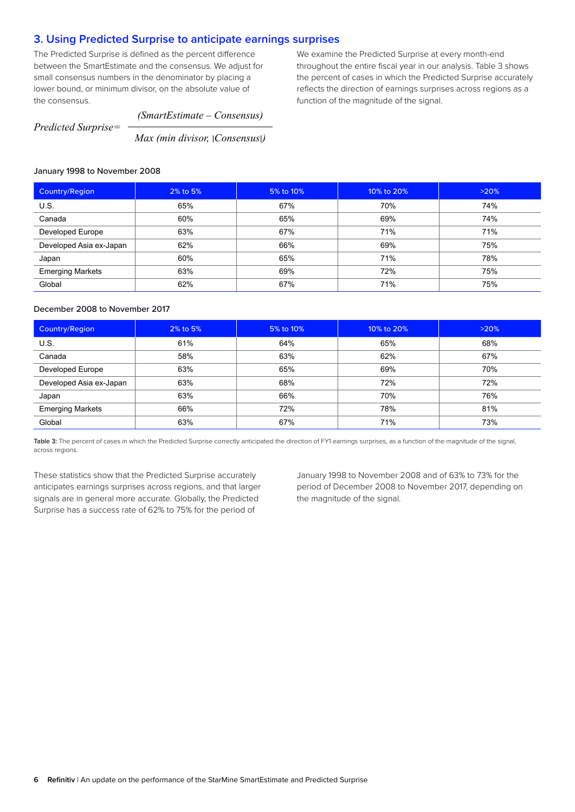# <span id="page-5-0"></span>**3. Using Predicted Surprise to anticipate earnings surprises**

The Predicted Surprise is defined as the percent difference between the SmartEstimate and the consensus. We adjust for small consensus numbers in the denominator by placing a lower bound, or minimum divisor, on the absolute value of the consensus.

We examine the Predicted Surprise at every month-end throughout the entire fiscal year in our analysis. Table 3 shows the percent of cases in which the Predicted Surprise accurately reflects the direction of earnings surprises across regions as a function of the magnitude of the signal.

*Predicted Surprise=*

*(SmartEstimate – Consensus)*

*Max (min divisor,* I*Consensus*I*)*

# January 1998 to November 2008

| Country/Region          | 2% to 5% | 5% to 10% | 10% to 20% | >20% |
|-------------------------|----------|-----------|------------|------|
| U.S.                    | 65%      | 67%       | 70%        | 74%  |
| Canada                  | 60%      | 65%       | 69%        | 74%  |
| Developed Europe        | 63%      | 67%       | 71%        | 71%  |
| Developed Asia ex-Japan | 62%      | 66%       | 69%        | 75%  |
| Japan                   | 60%      | 65%       | 71%        | 78%  |
| <b>Emerging Markets</b> | 63%      | 69%       | 72%        | 75%  |
| Global                  | 62%      | 67%       | 71%        | 75%  |

# December 2008 to November 2017

| <b>Country/Region</b>   | 2% to 5% | 5% to 10% | 10% to 20% | >20% |
|-------------------------|----------|-----------|------------|------|
| U.S.                    | 61%      | 64%       | 65%        | 68%  |
| Canada                  | 58%      | 63%       | 62%        | 67%  |
| Developed Europe        | 63%      | 65%       | 69%        | 70%  |
| Developed Asia ex-Japan | 63%      | 68%       | 72%        | 72%  |
| Japan                   | 63%      | 66%       | 70%        | 76%  |
| <b>Emerging Markets</b> | 66%      | 72%       | 78%        | 81%  |
| Global                  | 63%      | 67%       | 71%        | 73%  |

Table 3: The percent of cases in which the Predicted Surprise correctly anticipated the direction of FY1 earnings surprises, as a function of the magnitude of the signal, across regions.

These statistics show that the Predicted Surprise accurately anticipates earnings surprises across regions, and that larger signals are in general more accurate. Globally, the Predicted Surprise has a success rate of 62% to 75% for the period of

January 1998 to November 2008 and of 63% to 73% for the period of December 2008 to November 2017, depending on the magnitude of the signal.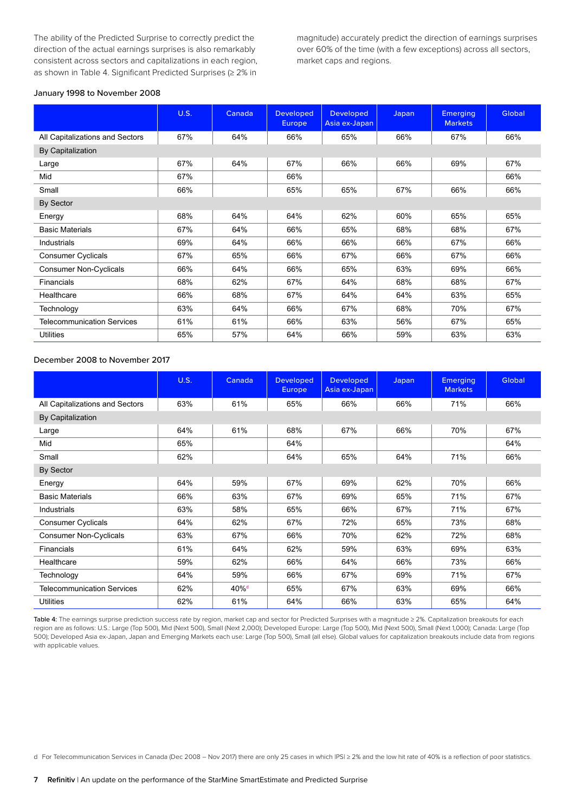The ability of the Predicted Surprise to correctly predict the direction of the actual earnings surprises is also remarkably consistent across sectors and capitalizations in each region, as shown in Table 4. Significant Predicted Surprises (≥ 2% in magnitude) accurately predict the direction of earnings surprises over 60% of the time (with a few exceptions) across all sectors, market caps and regions.

#### January 1998 to November 2008

|                                   | <b>U.S.</b> | Canada | <b>Developed</b><br><b>Europe</b> | <b>Developed</b><br>Asia ex-Japan | <b>Japan</b> | <b>Emerging</b><br><b>Markets</b> | Global |
|-----------------------------------|-------------|--------|-----------------------------------|-----------------------------------|--------------|-----------------------------------|--------|
| All Capitalizations and Sectors   | 67%         | 64%    | 66%                               | 65%                               | 66%          | 67%                               | 66%    |
| By Capitalization                 |             |        |                                   |                                   |              |                                   |        |
| Large                             | 67%         | 64%    | 67%                               | 66%                               | 66%          | 69%                               | 67%    |
| Mid                               | 67%         |        | 66%                               |                                   |              |                                   | 66%    |
| Small                             | 66%         |        | 65%                               | 65%                               | 67%          | 66%                               | 66%    |
| By Sector                         |             |        |                                   |                                   |              |                                   |        |
| Energy                            | 68%         | 64%    | 64%                               | 62%                               | 60%          | 65%                               | 65%    |
| <b>Basic Materials</b>            | 67%         | 64%    | 66%                               | 65%                               | 68%          | 68%                               | 67%    |
| Industrials                       | 69%         | 64%    | 66%                               | 66%                               | 66%          | 67%                               | 66%    |
| <b>Consumer Cyclicals</b>         | 67%         | 65%    | 66%                               | 67%                               | 66%          | 67%                               | 66%    |
| <b>Consumer Non-Cyclicals</b>     | 66%         | 64%    | 66%                               | 65%                               | 63%          | 69%                               | 66%    |
| Financials                        | 68%         | 62%    | 67%                               | 64%                               | 68%          | 68%                               | 67%    |
| Healthcare                        | 66%         | 68%    | 67%                               | 64%                               | 64%          | 63%                               | 65%    |
| Technology                        | 63%         | 64%    | 66%                               | 67%                               | 68%          | 70%                               | 67%    |
| <b>Telecommunication Services</b> | 61%         | 61%    | 66%                               | 63%                               | 56%          | 67%                               | 65%    |
| <b>Utilities</b>                  | 65%         | 57%    | 64%                               | 66%                               | 59%          | 63%                               | 63%    |

#### December 2008 to November 2017

|                                   | <b>U.S.</b> | Canada           | <b>Developed</b><br><b>Europe</b> | <b>Developed</b><br>Asia ex-Japan | Japan | <b>Emerging</b><br><b>Markets</b> | Global |
|-----------------------------------|-------------|------------------|-----------------------------------|-----------------------------------|-------|-----------------------------------|--------|
| All Capitalizations and Sectors   | 63%         | 61%              | 65%                               | 66%                               | 66%   | 71%                               | 66%    |
| By Capitalization                 |             |                  |                                   |                                   |       |                                   |        |
| Large                             | 64%         | 61%              | 68%                               | 67%                               | 66%   | 70%                               | 67%    |
| Mid                               | 65%         |                  | 64%                               |                                   |       |                                   | 64%    |
| Small                             | 62%         |                  | 64%                               | 65%                               | 64%   | 71%                               | 66%    |
| By Sector                         |             |                  |                                   |                                   |       |                                   |        |
| Energy                            | 64%         | 59%              | 67%                               | 69%                               | 62%   | 70%                               | 66%    |
| <b>Basic Materials</b>            | 66%         | 63%              | 67%                               | 69%                               | 65%   | 71%                               | 67%    |
| Industrials                       | 63%         | 58%              | 65%                               | 66%                               | 67%   | 71%                               | 67%    |
| <b>Consumer Cyclicals</b>         | 64%         | 62%              | 67%                               | 72%                               | 65%   | 73%                               | 68%    |
| <b>Consumer Non-Cyclicals</b>     | 63%         | 67%              | 66%                               | 70%                               | 62%   | 72%                               | 68%    |
| Financials                        | 61%         | 64%              | 62%                               | 59%                               | 63%   | 69%                               | 63%    |
| Healthcare                        | 59%         | 62%              | 66%                               | 64%                               | 66%   | 73%                               | 66%    |
| Technology                        | 64%         | 59%              | 66%                               | 67%                               | 69%   | 71%                               | 67%    |
| <b>Telecommunication Services</b> | 62%         | 40% <sup>d</sup> | 65%                               | 67%                               | 63%   | 69%                               | 66%    |
| Utilities                         | 62%         | 61%              | 64%                               | 66%                               | 63%   | 65%                               | 64%    |

Table 4: The earnings surprise prediction success rate by region, market cap and sector for Predicted Surprises with a magnitude ≥ 2%. Capitalization breakouts for each region are as follows: U.S.: Large (Top 500), Mid (Next 500), Small (Next 2,000); Developed Europe: Large (Top 500), Mid (Next 500), Small (Next 1,000); Canada: Large (Top 500); Developed Asia ex-Japan, Japan and Emerging Markets each use: Large (Top 500), Small (all else). Global values for capitalization breakouts include data from regions with applicable values.

d For Telecommunication Services in Canada (Dec 2008 – Nov 2017) there are only 25 cases in which |PS| ≥ 2% and the low hit rate of 40% is a reflection of poor statistics.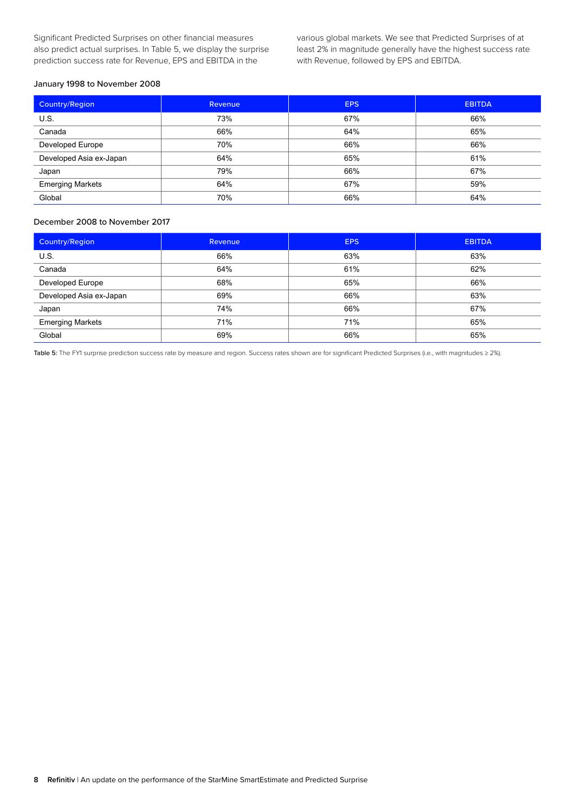Significant Predicted Surprises on other financial measures also predict actual surprises. In Table 5, we display the surprise prediction success rate for Revenue, EPS and EBITDA in the

various global markets. We see that Predicted Surprises of at least 2% in magnitude generally have the highest success rate with Revenue, followed by EPS and EBITDA.

#### January 1998 to November 2008

| Country/Region          | Revenue | <b>EPS</b> | <b>EBITDA</b> |
|-------------------------|---------|------------|---------------|
| U.S.                    | 73%     | 67%        | 66%           |
| Canada                  | 66%     | 64%        | 65%           |
| Developed Europe        | 70%     | 66%        | 66%           |
| Developed Asia ex-Japan | 64%     | 65%        | 61%           |
| Japan                   | 79%     | 66%        | 67%           |
| <b>Emerging Markets</b> | 64%     | 67%        | 59%           |
| Global                  | 70%     | 66%        | 64%           |

# December 2008 to November 2017

| Country/Region          | Revenue | <b>EPS</b> | <b>EBITDA</b> |
|-------------------------|---------|------------|---------------|
| U.S.                    | 66%     | 63%        | 63%           |
| Canada                  | 64%     | 61%        | 62%           |
| Developed Europe        | 68%     | 65%        | 66%           |
| Developed Asia ex-Japan | 69%     | 66%        | 63%           |
| Japan                   | 74%     | 66%        | 67%           |
| <b>Emerging Markets</b> | 71%     | 71%        | 65%           |
| Global                  | 69%     | 66%        | 65%           |

Table 5: The FY1 surprise prediction success rate by measure and region. Success rates shown are for significant Predicted Surprises (i.e., with magnitudes ≥ 2%).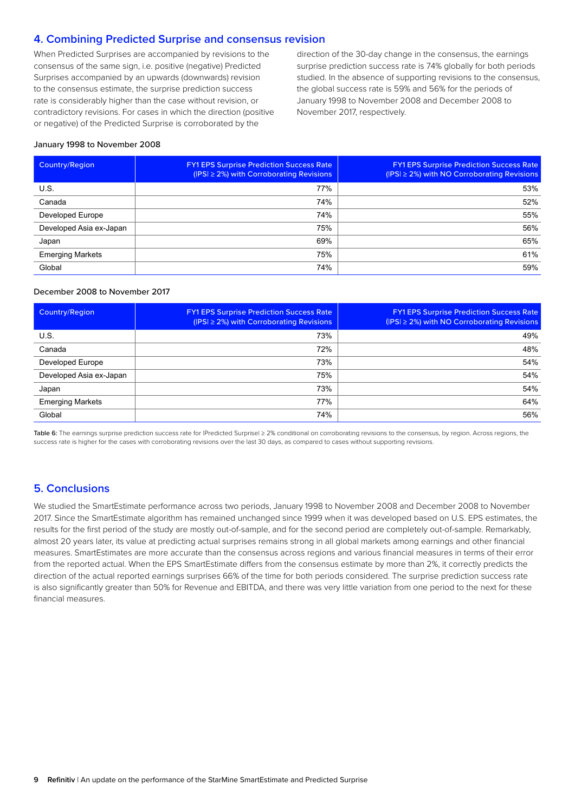# <span id="page-8-0"></span>**4. Combining Predicted Surprise and consensus revision**

When Predicted Surprises are accompanied by revisions to the consensus of the same sign, i.e. positive (negative) Predicted Surprises accompanied by an upwards (downwards) revision to the consensus estimate, the surprise prediction success rate is considerably higher than the case without revision, or contradictory revisions. For cases in which the direction (positive or negative) of the Predicted Surprise is corroborated by the

direction of the 30-day change in the consensus, the earnings surprise prediction success rate is 74% globally for both periods studied. In the absence of supporting revisions to the consensus, the global success rate is 59% and 56% for the periods of January 1998 to November 2008 and December 2008 to November 2017, respectively.

#### January 1998 to November 2008

| <b>Country/Region</b>   | <b>FY1 EPS Surprise Prediction Success Rate</b><br>$( PS  \geq 2\%)$ with Corroborating Revisions | <b>FY1 EPS Surprise Prediction Success Rate</b><br>$( PS  \geq 2%)$ with NO Corroborating Revisions |
|-------------------------|---------------------------------------------------------------------------------------------------|-----------------------------------------------------------------------------------------------------|
| U.S.                    | 77%                                                                                               | 53%                                                                                                 |
| Canada                  | 74%                                                                                               | 52%                                                                                                 |
| Developed Europe        | 74%                                                                                               | 55%                                                                                                 |
| Developed Asia ex-Japan | 75%                                                                                               | 56%                                                                                                 |
| Japan                   | 69%                                                                                               | 65%                                                                                                 |
| <b>Emerging Markets</b> | 75%                                                                                               | 61%                                                                                                 |
| Global                  | 74%                                                                                               | 59%                                                                                                 |

#### December 2008 to November 2017

| Country/Region          | <b>FY1 EPS Surprise Prediction Success Rate</b><br>$( PS  \geq 2\%)$ with Corroborating Revisions | <b>FY1 EPS Surprise Prediction Success Rate</b><br>$($ IPSI $\geq$ 2%) with NO Corroborating Revisions |
|-------------------------|---------------------------------------------------------------------------------------------------|--------------------------------------------------------------------------------------------------------|
| U.S.                    | 73%                                                                                               | 49%                                                                                                    |
| Canada                  | 72%                                                                                               | 48%                                                                                                    |
| Developed Europe        | 73%                                                                                               | 54%                                                                                                    |
| Developed Asia ex-Japan | 75%                                                                                               | 54%                                                                                                    |
| Japan                   | 73%                                                                                               | 54%                                                                                                    |
| <b>Emerging Markets</b> | 77%                                                                                               | 64%                                                                                                    |
| Global                  | 74%                                                                                               | 56%                                                                                                    |

Table 6: The earnings surprise prediction success rate for |Predicted Surprise| ≥ 2% conditional on corroborating revisions to the consensus, by region. Across regions, the success rate is higher for the cases with corroborating revisions over the last 30 days, as compared to cases without supporting revisions.

# **5. Conclusions**

We studied the SmartEstimate performance across two periods, January 1998 to November 2008 and December 2008 to November 2017. Since the SmartEstimate algorithm has remained unchanged since 1999 when it was developed based on U.S. EPS estimates, the results for the first period of the study are mostly out-of-sample, and for the second period are completely out-of-sample. Remarkably, almost 20 years later, its value at predicting actual surprises remains strong in all global markets among earnings and other financial measures. SmartEstimates are more accurate than the consensus across regions and various financial measures in terms of their error from the reported actual. When the EPS SmartEstimate differs from the consensus estimate by more than 2%, it correctly predicts the direction of the actual reported earnings surprises 66% of the time for both periods considered. The surprise prediction success rate is also significantly greater than 50% for Revenue and EBITDA, and there was very little variation from one period to the next for these financial measures.